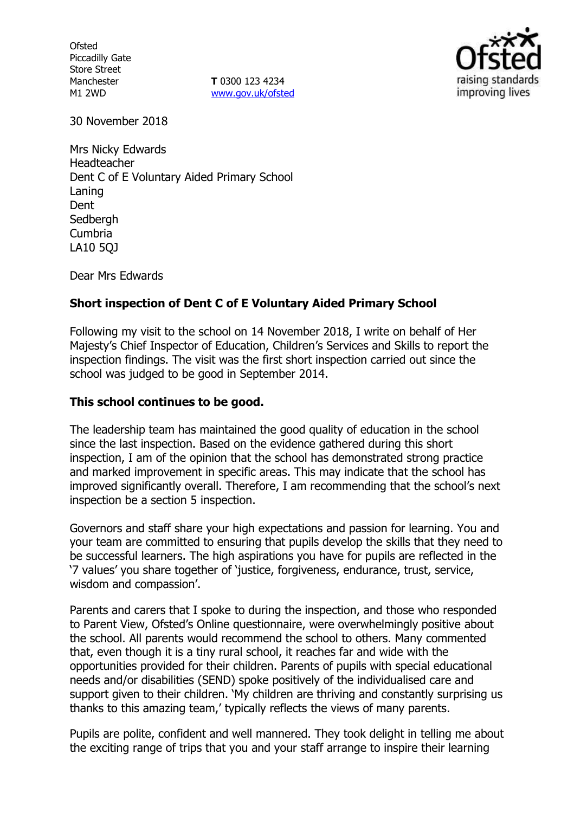**Ofsted** Piccadilly Gate Store Street Manchester M1 2WD

**T** 0300 123 4234 www.gov.uk/ofsted



30 November 2018

Mrs Nicky Edwards Headteacher Dent C of E Voluntary Aided Primary School Laning Dent **Sedbergh** Cumbria LA10 5QJ

Dear Mrs Edwards

## **Short inspection of Dent C of E Voluntary Aided Primary School**

Following my visit to the school on 14 November 2018, I write on behalf of Her Majesty's Chief Inspector of Education, Children's Services and Skills to report the inspection findings. The visit was the first short inspection carried out since the school was judged to be good in September 2014.

#### **This school continues to be good.**

The leadership team has maintained the good quality of education in the school since the last inspection. Based on the evidence gathered during this short inspection, I am of the opinion that the school has demonstrated strong practice and marked improvement in specific areas. This may indicate that the school has improved significantly overall. Therefore, I am recommending that the school's next inspection be a section 5 inspection.

Governors and staff share your high expectations and passion for learning. You and your team are committed to ensuring that pupils develop the skills that they need to be successful learners. The high aspirations you have for pupils are reflected in the '7 values' you share together of 'justice, forgiveness, endurance, trust, service, wisdom and compassion'.

Parents and carers that I spoke to during the inspection, and those who responded to Parent View, Ofsted's Online questionnaire, were overwhelmingly positive about the school. All parents would recommend the school to others. Many commented that, even though it is a tiny rural school, it reaches far and wide with the opportunities provided for their children. Parents of pupils with special educational needs and/or disabilities (SEND) spoke positively of the individualised care and support given to their children. 'My children are thriving and constantly surprising us thanks to this amazing team,' typically reflects the views of many parents.

Pupils are polite, confident and well mannered. They took delight in telling me about the exciting range of trips that you and your staff arrange to inspire their learning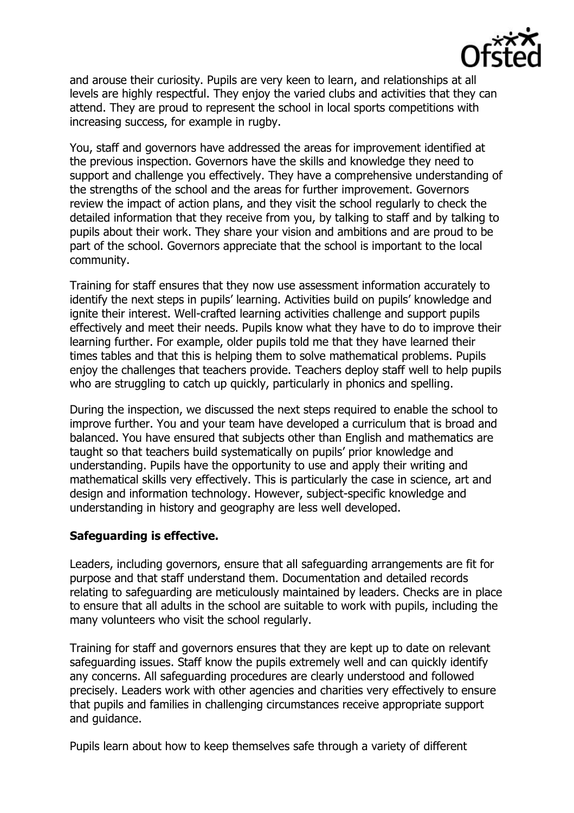

and arouse their curiosity. Pupils are very keen to learn, and relationships at all levels are highly respectful. They enjoy the varied clubs and activities that they can attend. They are proud to represent the school in local sports competitions with increasing success, for example in rugby.

You, staff and governors have addressed the areas for improvement identified at the previous inspection. Governors have the skills and knowledge they need to support and challenge you effectively. They have a comprehensive understanding of the strengths of the school and the areas for further improvement. Governors review the impact of action plans, and they visit the school regularly to check the detailed information that they receive from you, by talking to staff and by talking to pupils about their work. They share your vision and ambitions and are proud to be part of the school. Governors appreciate that the school is important to the local community.

Training for staff ensures that they now use assessment information accurately to identify the next steps in pupils' learning. Activities build on pupils' knowledge and ignite their interest. Well-crafted learning activities challenge and support pupils effectively and meet their needs. Pupils know what they have to do to improve their learning further. For example, older pupils told me that they have learned their times tables and that this is helping them to solve mathematical problems. Pupils enjoy the challenges that teachers provide. Teachers deploy staff well to help pupils who are struggling to catch up quickly, particularly in phonics and spelling.

During the inspection, we discussed the next steps required to enable the school to improve further. You and your team have developed a curriculum that is broad and balanced. You have ensured that subjects other than English and mathematics are taught so that teachers build systematically on pupils' prior knowledge and understanding. Pupils have the opportunity to use and apply their writing and mathematical skills very effectively. This is particularly the case in science, art and design and information technology. However, subject-specific knowledge and understanding in history and geography are less well developed.

### **Safeguarding is effective.**

Leaders, including governors, ensure that all safeguarding arrangements are fit for purpose and that staff understand them. Documentation and detailed records relating to safeguarding are meticulously maintained by leaders. Checks are in place to ensure that all adults in the school are suitable to work with pupils, including the many volunteers who visit the school regularly.

Training for staff and governors ensures that they are kept up to date on relevant safeguarding issues. Staff know the pupils extremely well and can quickly identify any concerns. All safeguarding procedures are clearly understood and followed precisely. Leaders work with other agencies and charities very effectively to ensure that pupils and families in challenging circumstances receive appropriate support and guidance.

Pupils learn about how to keep themselves safe through a variety of different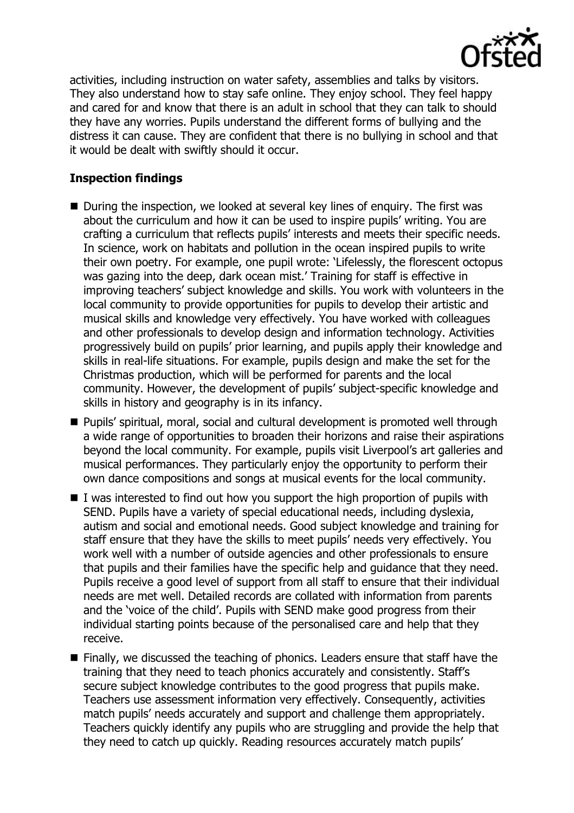

activities, including instruction on water safety, assemblies and talks by visitors. They also understand how to stay safe online. They enjoy school. They feel happy and cared for and know that there is an adult in school that they can talk to should they have any worries. Pupils understand the different forms of bullying and the distress it can cause. They are confident that there is no bullying in school and that it would be dealt with swiftly should it occur.

# **Inspection findings**

- During the inspection, we looked at several key lines of enquiry. The first was about the curriculum and how it can be used to inspire pupils' writing. You are crafting a curriculum that reflects pupils' interests and meets their specific needs. In science, work on habitats and pollution in the ocean inspired pupils to write their own poetry. For example, one pupil wrote: 'Lifelessly, the florescent octopus was gazing into the deep, dark ocean mist.' Training for staff is effective in improving teachers' subject knowledge and skills. You work with volunteers in the local community to provide opportunities for pupils to develop their artistic and musical skills and knowledge very effectively. You have worked with colleagues and other professionals to develop design and information technology. Activities progressively build on pupils' prior learning, and pupils apply their knowledge and skills in real-life situations. For example, pupils design and make the set for the Christmas production, which will be performed for parents and the local community. However, the development of pupils' subject-specific knowledge and skills in history and geography is in its infancy.
- **Pupils'** spiritual, moral, social and cultural development is promoted well through a wide range of opportunities to broaden their horizons and raise their aspirations beyond the local community. For example, pupils visit Liverpool's art galleries and musical performances. They particularly enjoy the opportunity to perform their own dance compositions and songs at musical events for the local community.
- $\blacksquare$  I was interested to find out how you support the high proportion of pupils with SEND. Pupils have a variety of special educational needs, including dyslexia, autism and social and emotional needs. Good subject knowledge and training for staff ensure that they have the skills to meet pupils' needs very effectively. You work well with a number of outside agencies and other professionals to ensure that pupils and their families have the specific help and guidance that they need. Pupils receive a good level of support from all staff to ensure that their individual needs are met well. Detailed records are collated with information from parents and the 'voice of the child'. Pupils with SEND make good progress from their individual starting points because of the personalised care and help that they receive.
- $\blacksquare$  Finally, we discussed the teaching of phonics. Leaders ensure that staff have the training that they need to teach phonics accurately and consistently. Staff's secure subject knowledge contributes to the good progress that pupils make. Teachers use assessment information very effectively. Consequently, activities match pupils' needs accurately and support and challenge them appropriately. Teachers quickly identify any pupils who are struggling and provide the help that they need to catch up quickly. Reading resources accurately match pupils'